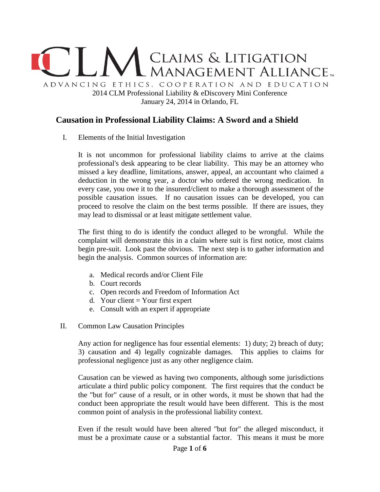

## **Causation in Professional Liability Claims: A Sword and a Shield**

I. Elements of the Initial Investigation

It is not uncommon for professional liability claims to arrive at the claims professional's desk appearing to be clear liability. This may be an attorney who missed a key deadline, limitations, answer, appeal, an accountant who claimed a deduction in the wrong year, a doctor who ordered the wrong medication. In every case, you owe it to the insurerd/client to make a thorough assessment of the possible causation issues. If no causation issues can be developed, you can proceed to resolve the claim on the best terms possible. If there are issues, they may lead to dismissal or at least mitigate settlement value.

The first thing to do is identify the conduct alleged to be wrongful. While the complaint will demonstrate this in a claim where suit is first notice, most claims begin pre-suit. Look past the obvious. The next step is to gather information and begin the analysis. Common sources of information are:

- a. Medical records and/or Client File
- b. Court records
- c. Open records and Freedom of Information Act
- d. Your client  $=$  Your first expert
- e. Consult with an expert if appropriate
- II. Common Law Causation Principles

Any action for negligence has four essential elements: 1) duty; 2) breach of duty; 3) causation and 4) legally cognizable damages. This applies to claims for professional negligence just as any other negligence claim.

Causation can be viewed as having two components, although some jurisdictions articulate a third public policy component. The first requires that the conduct be the "but for" cause of a result, or in other words, it must be shown that had the conduct been appropriate the result would have been different. This is the most common point of analysis in the professional liability context.

Even if the result would have been altered "but for" the alleged misconduct, it must be a proximate cause or a substantial factor. This means it must be more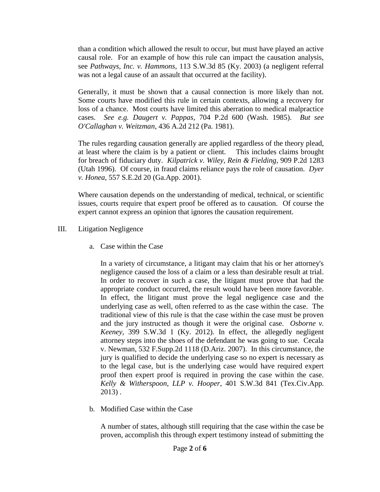than a condition which allowed the result to occur, but must have played an active causal role. For an example of how this rule can impact the causation analysis, see *Pathways, Inc. v. Hammons*, 113 S.W.3d 85 (Ky. 2003) (a negligent referral was not a legal cause of an assault that occurred at the facility).

Generally, it must be shown that a causal connection is more likely than not. Some courts have modified this rule in certain contexts, allowing a recovery for loss of a chance. Most courts have limited this aberration to medical malpractice cases. *See e.g. Daugert v. Pappas*, 704 P.2d 600 (Wash. 1985). *But see O'Callaghan v. Weitzman*, 436 A.2d 212 (Pa. 1981).

The rules regarding causation generally are applied regardless of the theory plead, at least where the claim is by a patient or client. This includes claims brought for breach of fiduciary duty. *Kilpatrick v. Wiley, Rein & Fielding*, 909 P.2d 1283 (Utah 1996). Of course, in fraud claims reliance pays the role of causation. *Dyer v. Honea*, 557 S.E.2d 20 (Ga.App. 2001).

Where causation depends on the understanding of medical, technical, or scientific issues, courts require that expert proof be offered as to causation. Of course the expert cannot express an opinion that ignores the causation requirement.

- III. Litigation Negligence
	- a. Case within the Case

In a variety of circumstance, a litigant may claim that his or her attorney's negligence caused the loss of a claim or a less than desirable result at trial. In order to recover in such a case, the litigant must prove that had the appropriate conduct occurred, the result would have been more favorable. In effect, the litigant must prove the legal negligence case and the underlying case as well, often referred to as the case within the case. The traditional view of this rule is that the case within the case must be proven and the jury instructed as though it were the original case. *Osborne v. Keeney*, 399 S.W.3d 1 (Ky. 2012). In effect, the allegedly negligent attorney steps into the shoes of the defendant he was going to sue. Cecala v. Newman, 532 F.Supp.2d 1118 (D.Ariz. 2007). In this circumstance, the jury is qualified to decide the underlying case so no expert is necessary as to the legal case, but is the underlying case would have required expert proof then expert proof is required in proving the case within the case. *Kelly & Witherspoon, LLP v. Hooper*, 401 S.W.3d 841 (Tex.Civ.App. 2013) .

b. Modified Case within the Case

A number of states, although still requiring that the case within the case be proven, accomplish this through expert testimony instead of submitting the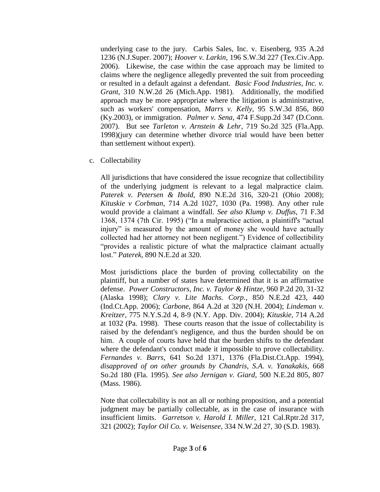underlying case to the jury. Carbis Sales, Inc. v. Eisenberg, 935 A.2d 1236 (N.J.Super. 2007); *Hoover v. Larkin*, 196 S.W.3d 227 (Tex.Civ.App. 2006). Likewise, the case within the case approach may be limited to claims where the negligence allegedly prevented the suit from proceeding or resulted in a default against a defendant. *Basic Food Industries, Inc. v. Grant*, 310 N.W.2d 26 (Mich.App. 1981). Additionally, the modified approach may be more appropriate where the litigation is administrative, such as workers' compensation, *Marrs v. Kelly*, 95 S.W.3d 856, 860 (Ky.2003), or immigration. *Palmer v. Sena*, 474 F.Supp.2d 347 (D.Conn. 2007). But see *Tarleton v. Arnstein & Lehr*, 719 So.2d 325 (Fla.App. 1998)(jury can determine whether divorce trial would have been better than settlement without expert).

c. Collectability

All jurisdictions that have considered the issue recognize that collectibility of the underlying judgment is relevant to a legal malpractice claim. *Paterek v. Petersen & Ibold,* 890 N.E.2d 316, 320-21 (Ohio 2008); *Kituskie v Corbman*, 714 A.2d 1027, 1030 (Pa. 1998). Any other rule would provide a claimant a windfall. *See also Klump v. Duffus,* 71 F.3d 1368, 1374 (7th Cir. 1995) ("In a malpractice action, a plaintiff's "actual injury" is measured by the amount of money she would have actually collected had her attorney not been negligent.") Evidence of collectibility "provides a realistic picture of what the malpractice claimant actually lost." *Paterek*, 890 N.E.2d at 320.

Most jurisdictions place the burden of proving collectability on the plaintiff, but a number of states have determined that it is an affirmative defense. *Power Constructors, Inc. v. Taylor & Hintze*, 960 P.2d 20, 31-32 (Alaska 1998); *Clary v. Lite Machs. Corp.*, 850 N.E.2d 423, 440 (Ind.Ct.App. 2006); *Carbone*, 864 A.2d at 320 (N.H. 2004); *Lindeman v. Kreitzer,* 775 N.Y.S.2d 4, 8-9 (N.Y. App. Div. 2004); *Kituskie,* 714 A.2d at 1032 (Pa. 1998). These courts reason that the issue of collectability is raised by the defendant's negligence, and thus the burden should be on him. A couple of courts have held that the burden shifts to the defendant where the defendant's conduct made it impossible to prove collectability. *Fernandes v. Barrs*, 641 So.2d 1371, 1376 (Fla.Dist.Ct.App. 1994), *disapproved of on other grounds by Chandris, S.A. v. Yanakakis,* 668 So.2d 180 (Fla. 1995). *See also Jernigan v. Giard,* 500 N.E.2d 805, 807 (Mass. 1986).

Note that collectability is not an all or nothing proposition, and a potential judgment may be partially collectable, as in the case of insurance with insufficient limits. *Garretson v. Harold I. Miller,* 121 Cal.Rptr.2d 317, 321 (2002); *Taylor Oil Co. v. Weisensee,* 334 N.W.2d 27, 30 (S.D. 1983).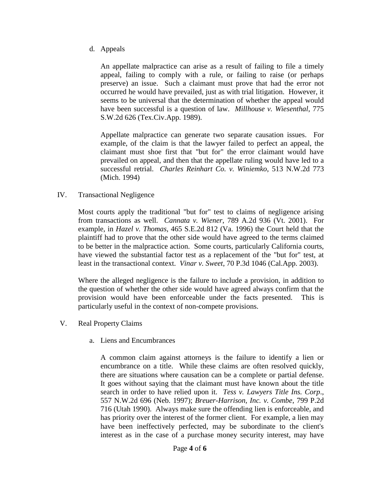d. Appeals

An appellate malpractice can arise as a result of failing to file a timely appeal, failing to comply with a rule, or failing to raise (or perhaps preserve) an issue. Such a claimant must prove that had the error not occurred he would have prevailed, just as with trial litigation. However, it seems to be universal that the determination of whether the appeal would have been successful is a question of law. *Millhouse v. Wiesenthal*, 775 S.W.2d 626 (Tex.Civ.App. 1989).

Appellate malpractice can generate two separate causation issues. For example, of the claim is that the lawyer failed to perfect an appeal, the claimant must shoe first that "but for" the error claimant would have prevailed on appeal, and then that the appellate ruling would have led to a successful retrial. *Charles Reinhart Co. v. Winiemko*, 513 N.W.2d 773 (Mich. 1994)

IV. Transactional Negligence

Most courts apply the traditional "but for" test to claims of negligence arising from transactions as well. *Cannata v. Wiener*, 789 A.2d 936 (Vt. 2001). For example, in *Hazel v. Thomas*, 465 S.E.2d 812 (Va. 1996) the Court held that the plaintiff had to prove that the other side would have agreed to the terms claimed to be better in the malpractice action. Some courts, particularly California courts, have viewed the substantial factor test as a replacement of the "but for" test, at least in the transactional context. *Vinar v. Sweet*, 70 P.3d 1046 (Cal.App. 2003).

Where the alleged negligence is the failure to include a provision, in addition to the question of whether the other side would have agreed always confirm that the provision would have been enforceable under the facts presented. This is particularly useful in the context of non-compete provisions.

- V. Real Property Claims
	- a. Liens and Encumbrances

A common claim against attorneys is the failure to identify a lien or encumbrance on a title. While these claims are often resolved quickly, there are situations where causation can be a complete or partial defense. It goes without saying that the claimant must have known about the title search in order to have relied upon it. *Tess v. Lawyers Title Ins. Corp*., 557 N.W.2d 696 (Neb. 1997); *Breuer-Harrison, Inc. v. Combe*, 799 P.2d 716 (Utah 1990). Always make sure the offending lien is enforceable, and has priority over the interest of the former client. For example, a lien may have been ineffectively perfected, may be subordinate to the client's interest as in the case of a purchase money security interest, may have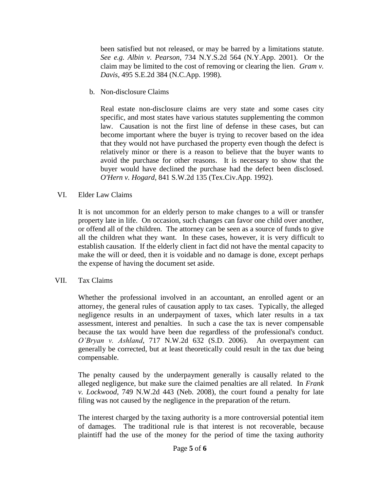been satisfied but not released, or may be barred by a limitations statute. *See e.g. Albin v. Pearson*, 734 N.Y.S.2d 564 (N.Y.App. 2001). Or the claim may be limited to the cost of removing or clearing the lien. *Gram v. Davis*, 495 S.E.2d 384 (N.C.App. 1998).

b. Non-disclosure Claims

Real estate non-disclosure claims are very state and some cases city specific, and most states have various statutes supplementing the common law. Causation is not the first line of defense in these cases, but can become important where the buyer is trying to recover based on the idea that they would not have purchased the property even though the defect is relatively minor or there is a reason to believe that the buyer wants to avoid the purchase for other reasons. It is necessary to show that the buyer would have declined the purchase had the defect been disclosed. *O'Hern v. Hogard,* 841 S.W.2d 135 (Tex.Civ.App. 1992).

## VI. Elder Law Claims

It is not uncommon for an elderly person to make changes to a will or transfer property late in life. On occasion, such changes can favor one child over another, or offend all of the children. The attorney can be seen as a source of funds to give all the children what they want. In these cases, however, it is very difficult to establish causation. If the elderly client in fact did not have the mental capacity to make the will or deed, then it is voidable and no damage is done, except perhaps the expense of having the document set aside.

## VII. Tax Claims

Whether the professional involved in an accountant, an enrolled agent or an attorney, the general rules of causation apply to tax cases. Typically, the alleged negligence results in an underpayment of taxes, which later results in a tax assessment, interest and penalties. In such a case the tax is never compensable because the tax would have been due regardless of the professional's conduct. *O'Bryan v. Ashland*, 717 N.W.2d 632 (S.D. 2006). An overpayment can generally be corrected, but at least theoretically could result in the tax due being compensable.

The penalty caused by the underpayment generally is causally related to the alleged negligence, but make sure the claimed penalties are all related. In *Frank v. Lockwood*, 749 N.W.2d 443 (Neb. 2008), the court found a penalty for late filing was not caused by the negligence in the preparation of the return.

The interest charged by the taxing authority is a more controversial potential item of damages. The traditional rule is that interest is not recoverable, because plaintiff had the use of the money for the period of time the taxing authority